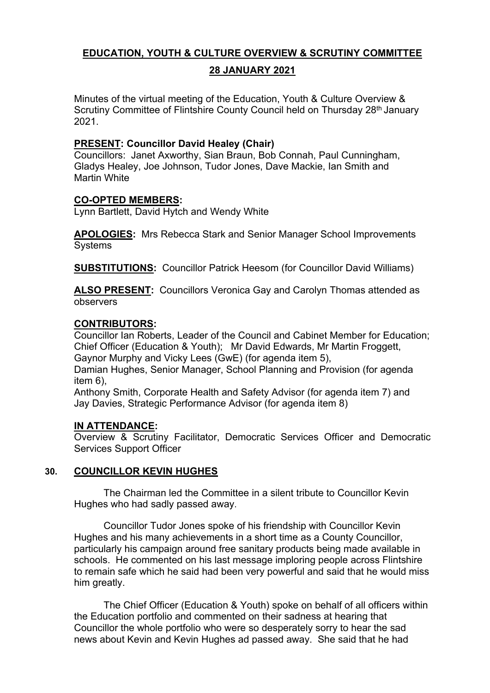# **EDUCATION, YOUTH & CULTURE OVERVIEW & SCRUTINY COMMITTEE**

### **28 JANUARY 2021**

Minutes of the virtual meeting of the Education, Youth & Culture Overview & Scrutiny Committee of Flintshire County Council held on Thursday 28<sup>th</sup> January 2021.

### **PRESENT: Councillor David Healey (Chair)**

Councillors: Janet Axworthy, Sian Braun, Bob Connah, Paul Cunningham, Gladys Healey, Joe Johnson, Tudor Jones, Dave Mackie, Ian Smith and Martin White

## **CO-OPTED MEMBERS:**

Lynn Bartlett, David Hytch and Wendy White

**APOLOGIES:** Mrs Rebecca Stark and Senior Manager School Improvements **Systems** 

**SUBSTITUTIONS:** Councillor Patrick Heesom (for Councillor David Williams)

**ALSO PRESENT:** Councillors Veronica Gay and Carolyn Thomas attended as observers

## **CONTRIBUTORS:**

Councillor Ian Roberts, Leader of the Council and Cabinet Member for Education; Chief Officer (Education & Youth); Mr David Edwards, Mr Martin Froggett, Gaynor Murphy and Vicky Lees (GwE) (for agenda item 5),

Damian Hughes, Senior Manager, School Planning and Provision (for agenda item 6),

Anthony Smith, Corporate Health and Safety Advisor (for agenda item 7) and Jay Davies, Strategic Performance Advisor (for agenda item 8)

## **IN ATTENDANCE:**

Overview & Scrutiny Facilitator, Democratic Services Officer and Democratic Services Support Officer

## **30. COUNCILLOR KEVIN HUGHES**

The Chairman led the Committee in a silent tribute to Councillor Kevin Hughes who had sadly passed away.

Councillor Tudor Jones spoke of his friendship with Councillor Kevin Hughes and his many achievements in a short time as a County Councillor, particularly his campaign around free sanitary products being made available in schools. He commented on his last message imploring people across Flintshire to remain safe which he said had been very powerful and said that he would miss him greatly.

The Chief Officer (Education & Youth) spoke on behalf of all officers within the Education portfolio and commented on their sadness at hearing that Councillor the whole portfolio who were so desperately sorry to hear the sad news about Kevin and Kevin Hughes ad passed away. She said that he had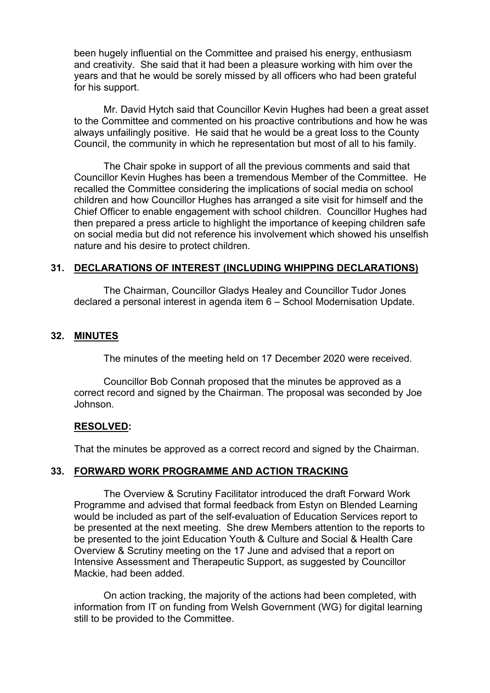been hugely influential on the Committee and praised his energy, enthusiasm and creativity. She said that it had been a pleasure working with him over the years and that he would be sorely missed by all officers who had been grateful for his support.

Mr. David Hytch said that Councillor Kevin Hughes had been a great asset to the Committee and commented on his proactive contributions and how he was always unfailingly positive. He said that he would be a great loss to the County Council, the community in which he representation but most of all to his family.

The Chair spoke in support of all the previous comments and said that Councillor Kevin Hughes has been a tremendous Member of the Committee. He recalled the Committee considering the implications of social media on school children and how Councillor Hughes has arranged a site visit for himself and the Chief Officer to enable engagement with school children. Councillor Hughes had then prepared a press article to highlight the importance of keeping children safe on social media but did not reference his involvement which showed his unselfish nature and his desire to protect children.

### **31. DECLARATIONS OF INTEREST (INCLUDING WHIPPING DECLARATIONS)**

The Chairman, Councillor Gladys Healey and Councillor Tudor Jones declared a personal interest in agenda item 6 – School Modernisation Update.

#### **32. MINUTES**

The minutes of the meeting held on 17 December 2020 were received.

Councillor Bob Connah proposed that the minutes be approved as a correct record and signed by the Chairman. The proposal was seconded by Joe Johnson.

#### **RESOLVED:**

That the minutes be approved as a correct record and signed by the Chairman.

### **33. FORWARD WORK PROGRAMME AND ACTION TRACKING**

The Overview & Scrutiny Facilitator introduced the draft Forward Work Programme and advised that formal feedback from Estyn on Blended Learning would be included as part of the self-evaluation of Education Services report to be presented at the next meeting. She drew Members attention to the reports to be presented to the joint Education Youth & Culture and Social & Health Care Overview & Scrutiny meeting on the 17 June and advised that a report on Intensive Assessment and Therapeutic Support, as suggested by Councillor Mackie, had been added.

On action tracking, the majority of the actions had been completed, with information from IT on funding from Welsh Government (WG) for digital learning still to be provided to the Committee.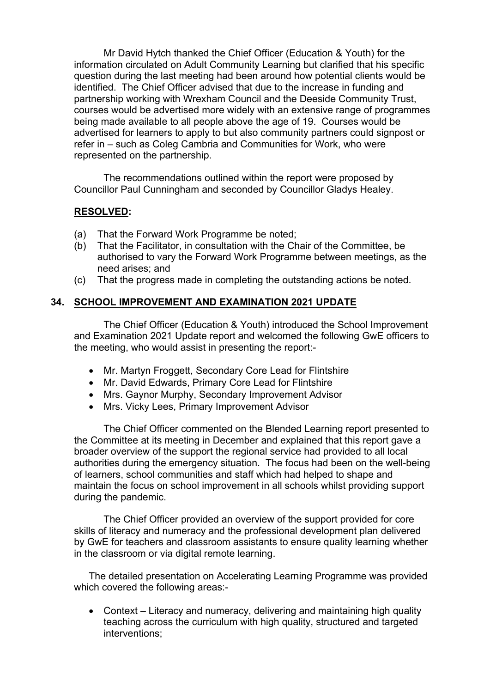Mr David Hytch thanked the Chief Officer (Education & Youth) for the information circulated on Adult Community Learning but clarified that his specific question during the last meeting had been around how potential clients would be identified. The Chief Officer advised that due to the increase in funding and partnership working with Wrexham Council and the Deeside Community Trust, courses would be advertised more widely with an extensive range of programmes being made available to all people above the age of 19. Courses would be advertised for learners to apply to but also community partners could signpost or refer in – such as Coleg Cambria and Communities for Work, who were represented on the partnership.

The recommendations outlined within the report were proposed by Councillor Paul Cunningham and seconded by Councillor Gladys Healey.

## **RESOLVED:**

- (a) That the Forward Work Programme be noted;
- (b) That the Facilitator, in consultation with the Chair of the Committee, be authorised to vary the Forward Work Programme between meetings, as the need arises; and
- (c) That the progress made in completing the outstanding actions be noted.

### **34. SCHOOL IMPROVEMENT AND EXAMINATION 2021 UPDATE**

The Chief Officer (Education & Youth) introduced the School Improvement and Examination 2021 Update report and welcomed the following GwE officers to the meeting, who would assist in presenting the report:-

- Mr. Martyn Froggett, Secondary Core Lead for Flintshire
- Mr. David Edwards, Primary Core Lead for Flintshire
- Mrs. Gaynor Murphy, Secondary Improvement Advisor
- Mrs. Vicky Lees, Primary Improvement Advisor

The Chief Officer commented on the Blended Learning report presented to the Committee at its meeting in December and explained that this report gave a broader overview of the support the regional service had provided to all local authorities during the emergency situation. The focus had been on the well-being of learners, school communities and staff which had helped to shape and maintain the focus on school improvement in all schools whilst providing support during the pandemic.

The Chief Officer provided an overview of the support provided for core skills of literacy and numeracy and the professional development plan delivered by GwE for teachers and classroom assistants to ensure quality learning whether in the classroom or via digital remote learning.

The detailed presentation on Accelerating Learning Programme was provided which covered the following areas:-

 Context – Literacy and numeracy, delivering and maintaining high quality teaching across the curriculum with high quality, structured and targeted interventions;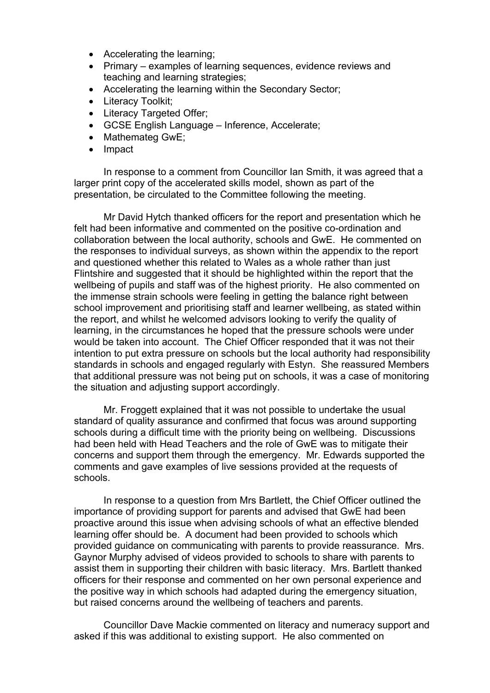- Accelerating the learning;
- Primary examples of learning sequences, evidence reviews and teaching and learning strategies;
- Accelerating the learning within the Secondary Sector;
- Literacy Toolkit;
- Literacy Targeted Offer:
- GCSE English Language Inference, Accelerate;
- Mathemateg GwE;
- Impact

In response to a comment from Councillor Ian Smith, it was agreed that a larger print copy of the accelerated skills model, shown as part of the presentation, be circulated to the Committee following the meeting.

Mr David Hytch thanked officers for the report and presentation which he felt had been informative and commented on the positive co-ordination and collaboration between the local authority, schools and GwE. He commented on the responses to individual surveys, as shown within the appendix to the report and questioned whether this related to Wales as a whole rather than just Flintshire and suggested that it should be highlighted within the report that the wellbeing of pupils and staff was of the highest priority. He also commented on the immense strain schools were feeling in getting the balance right between school improvement and prioritising staff and learner wellbeing, as stated within the report, and whilst he welcomed advisors looking to verify the quality of learning, in the circumstances he hoped that the pressure schools were under would be taken into account. The Chief Officer responded that it was not their intention to put extra pressure on schools but the local authority had responsibility standards in schools and engaged regularly with Estyn. She reassured Members that additional pressure was not being put on schools, it was a case of monitoring the situation and adjusting support accordingly.

Mr. Froggett explained that it was not possible to undertake the usual standard of quality assurance and confirmed that focus was around supporting schools during a difficult time with the priority being on wellbeing. Discussions had been held with Head Teachers and the role of GwE was to mitigate their concerns and support them through the emergency. Mr. Edwards supported the comments and gave examples of live sessions provided at the requests of schools.

In response to a question from Mrs Bartlett, the Chief Officer outlined the importance of providing support for parents and advised that GwE had been proactive around this issue when advising schools of what an effective blended learning offer should be. A document had been provided to schools which provided guidance on communicating with parents to provide reassurance. Mrs. Gaynor Murphy advised of videos provided to schools to share with parents to assist them in supporting their children with basic literacy. Mrs. Bartlett thanked officers for their response and commented on her own personal experience and the positive way in which schools had adapted during the emergency situation, but raised concerns around the wellbeing of teachers and parents.

Councillor Dave Mackie commented on literacy and numeracy support and asked if this was additional to existing support. He also commented on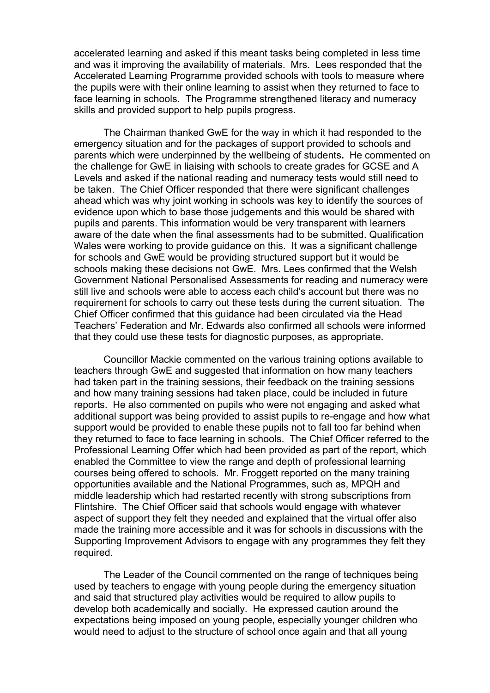accelerated learning and asked if this meant tasks being completed in less time and was it improving the availability of materials. Mrs. Lees responded that the Accelerated Learning Programme provided schools with tools to measure where the pupils were with their online learning to assist when they returned to face to face learning in schools. The Programme strengthened literacy and numeracy skills and provided support to help pupils progress.

The Chairman thanked GwE for the way in which it had responded to the emergency situation and for the packages of support provided to schools and parents which were underpinned by the wellbeing of students**.** He commented on the challenge for GwE in liaising with schools to create grades for GCSE and A Levels and asked if the national reading and numeracy tests would still need to be taken. The Chief Officer responded that there were significant challenges ahead which was why joint working in schools was key to identify the sources of evidence upon which to base those judgements and this would be shared with pupils and parents. This information would be very transparent with learners aware of the date when the final assessments had to be submitted. Qualification Wales were working to provide guidance on this. It was a significant challenge for schools and GwE would be providing structured support but it would be schools making these decisions not GwE. Mrs. Lees confirmed that the Welsh Government National Personalised Assessments for reading and numeracy were still live and schools were able to access each child's account but there was no requirement for schools to carry out these tests during the current situation. The Chief Officer confirmed that this guidance had been circulated via the Head Teachers' Federation and Mr. Edwards also confirmed all schools were informed that they could use these tests for diagnostic purposes, as appropriate.

Councillor Mackie commented on the various training options available to teachers through GwE and suggested that information on how many teachers had taken part in the training sessions, their feedback on the training sessions and how many training sessions had taken place, could be included in future reports. He also commented on pupils who were not engaging and asked what additional support was being provided to assist pupils to re-engage and how what support would be provided to enable these pupils not to fall too far behind when they returned to face to face learning in schools. The Chief Officer referred to the Professional Learning Offer which had been provided as part of the report, which enabled the Committee to view the range and depth of professional learning courses being offered to schools. Mr. Froggett reported on the many training opportunities available and the National Programmes, such as, MPQH and middle leadership which had restarted recently with strong subscriptions from Flintshire. The Chief Officer said that schools would engage with whatever aspect of support they felt they needed and explained that the virtual offer also made the training more accessible and it was for schools in discussions with the Supporting Improvement Advisors to engage with any programmes they felt they required.

The Leader of the Council commented on the range of techniques being used by teachers to engage with young people during the emergency situation and said that structured play activities would be required to allow pupils to develop both academically and socially. He expressed caution around the expectations being imposed on young people, especially younger children who would need to adjust to the structure of school once again and that all young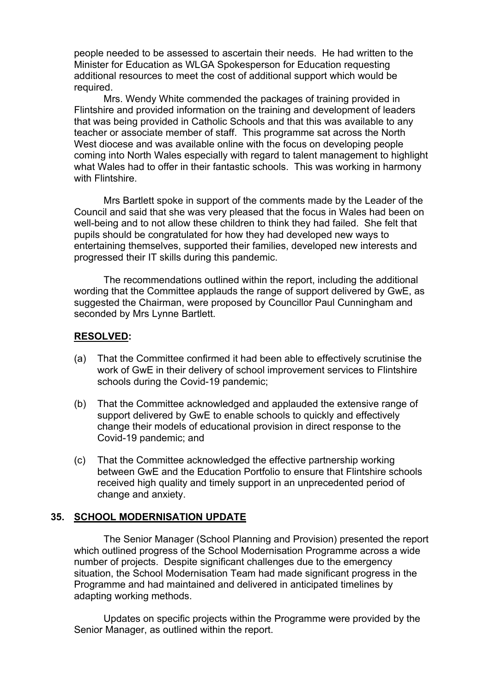people needed to be assessed to ascertain their needs. He had written to the Minister for Education as WLGA Spokesperson for Education requesting additional resources to meet the cost of additional support which would be required.

Mrs. Wendy White commended the packages of training provided in Flintshire and provided information on the training and development of leaders that was being provided in Catholic Schools and that this was available to any teacher or associate member of staff. This programme sat across the North West diocese and was available online with the focus on developing people coming into North Wales especially with regard to talent management to highlight what Wales had to offer in their fantastic schools. This was working in harmony with Flintshire.

Mrs Bartlett spoke in support of the comments made by the Leader of the Council and said that she was very pleased that the focus in Wales had been on well-being and to not allow these children to think they had failed. She felt that pupils should be congratulated for how they had developed new ways to entertaining themselves, supported their families, developed new interests and progressed their IT skills during this pandemic.

The recommendations outlined within the report, including the additional wording that the Committee applauds the range of support delivered by GwE, as suggested the Chairman, were proposed by Councillor Paul Cunningham and seconded by Mrs Lynne Bartlett.

### **RESOLVED:**

- (a) That the Committee confirmed it had been able to effectively scrutinise the work of GwE in their delivery of school improvement services to Flintshire schools during the Covid-19 pandemic;
- (b) That the Committee acknowledged and applauded the extensive range of support delivered by GwE to enable schools to quickly and effectively change their models of educational provision in direct response to the Covid-19 pandemic; and
- (c) That the Committee acknowledged the effective partnership working between GwE and the Education Portfolio to ensure that Flintshire schools received high quality and timely support in an unprecedented period of change and anxiety.

#### **35. SCHOOL MODERNISATION UPDATE**

The Senior Manager (School Planning and Provision) presented the report which outlined progress of the School Modernisation Programme across a wide number of projects. Despite significant challenges due to the emergency situation, the School Modernisation Team had made significant progress in the Programme and had maintained and delivered in anticipated timelines by adapting working methods.

Updates on specific projects within the Programme were provided by the Senior Manager, as outlined within the report.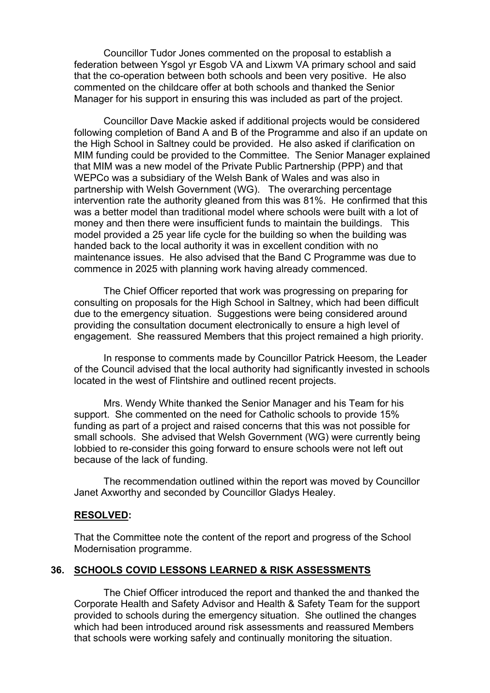Councillor Tudor Jones commented on the proposal to establish a federation between Ysgol yr Esgob VA and Lixwm VA primary school and said that the co-operation between both schools and been very positive. He also commented on the childcare offer at both schools and thanked the Senior Manager for his support in ensuring this was included as part of the project.

Councillor Dave Mackie asked if additional projects would be considered following completion of Band A and B of the Programme and also if an update on the High School in Saltney could be provided. He also asked if clarification on MIM funding could be provided to the Committee. The Senior Manager explained that MIM was a new model of the Private Public Partnership (PPP) and that WEPCo was a subsidiary of the Welsh Bank of Wales and was also in partnership with Welsh Government (WG). The overarching percentage intervention rate the authority gleaned from this was 81%. He confirmed that this was a better model than traditional model where schools were built with a lot of money and then there were insufficient funds to maintain the buildings. This model provided a 25 year life cycle for the building so when the building was handed back to the local authority it was in excellent condition with no maintenance issues. He also advised that the Band C Programme was due to commence in 2025 with planning work having already commenced.

The Chief Officer reported that work was progressing on preparing for consulting on proposals for the High School in Saltney, which had been difficult due to the emergency situation. Suggestions were being considered around providing the consultation document electronically to ensure a high level of engagement. She reassured Members that this project remained a high priority.

In response to comments made by Councillor Patrick Heesom, the Leader of the Council advised that the local authority had significantly invested in schools located in the west of Flintshire and outlined recent projects.

Mrs. Wendy White thanked the Senior Manager and his Team for his support. She commented on the need for Catholic schools to provide 15% funding as part of a project and raised concerns that this was not possible for small schools. She advised that Welsh Government (WG) were currently being lobbied to re-consider this going forward to ensure schools were not left out because of the lack of funding.

The recommendation outlined within the report was moved by Councillor Janet Axworthy and seconded by Councillor Gladys Healey.

#### **RESOLVED:**

That the Committee note the content of the report and progress of the School Modernisation programme.

#### **36. SCHOOLS COVID LESSONS LEARNED & RISK ASSESSMENTS**

The Chief Officer introduced the report and thanked the and thanked the Corporate Health and Safety Advisor and Health & Safety Team for the support provided to schools during the emergency situation. She outlined the changes which had been introduced around risk assessments and reassured Members that schools were working safely and continually monitoring the situation.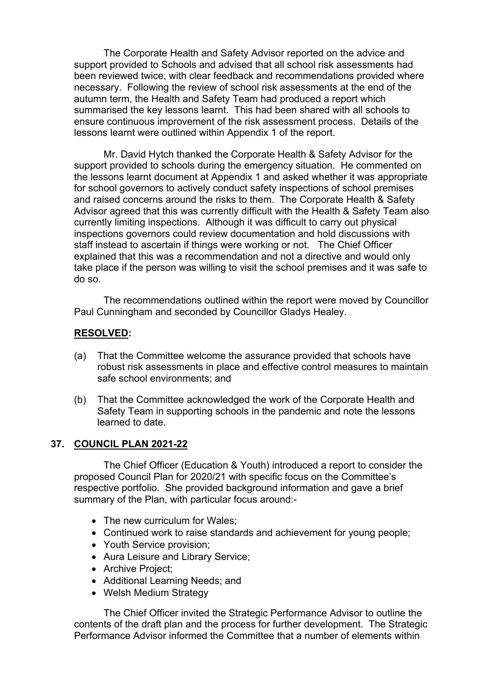The Corporate Health and Safety Advisor reported on the advice and support provided to Schools and advised that all school risk assessments had been reviewed twice, with clear feedback and recommendations provided where necessary. Following the review of school risk assessments at the end of the autumn term, the Health and Safety Team had produced a report which summarised the key lessons learnt. This had been shared with all schools to ensure continuous improvement of the risk assessment process. Details of the lessons learnt were outlined within Appendix 1 of the report.

Mr. David Hytch thanked the Corporate Health & Safety Advisor for the support provided to schools during the emergency situation. He commented on the lessons learnt document at Appendix 1 and asked whether it was appropriate for school governors to actively conduct safety inspections of school premises and raised concerns around the risks to them. The Corporate Health & Safety Advisor agreed that this was currently difficult with the Health & Safety Team also currently limiting inspections. Although it was difficult to carry out physical inspections governors could review documentation and hold discussions with staff instead to ascertain if things were working or not. The Chief Officer explained that this was a recommendation and not a directive and would only take place if the person was willing to visit the school premises and it was safe to do so.

The recommendations outlined within the report were moved by Councillor Paul Cunningham and seconded by Councillor Gladys Healey.

## **RESOLVED:**

- (a) That the Committee welcome the assurance provided that schools have robust risk assessments in place and effective control measures to maintain safe school environments; and
- (b) That the Committee acknowledged the work of the Corporate Health and Safety Team in supporting schools in the pandemic and note the lessons learned to date.

### **37. COUNCIL PLAN 2021-22**

The Chief Officer (Education & Youth) introduced a report to consider the proposed Council Plan for 2020/21 with specific focus on the Committee's respective portfolio. She provided background information and gave a brief summary of the Plan, with particular focus around:-

- The new curriculum for Wales:
- Continued work to raise standards and achievement for young people;
- Youth Service provision;
- Aura Leisure and Library Service:
- Archive Project;
- Additional Learning Needs; and
- Welsh Medium Strategy

The Chief Officer invited the Strategic Performance Advisor to outline the contents of the draft plan and the process for further development. The Strategic Performance Advisor informed the Committee that a number of elements within